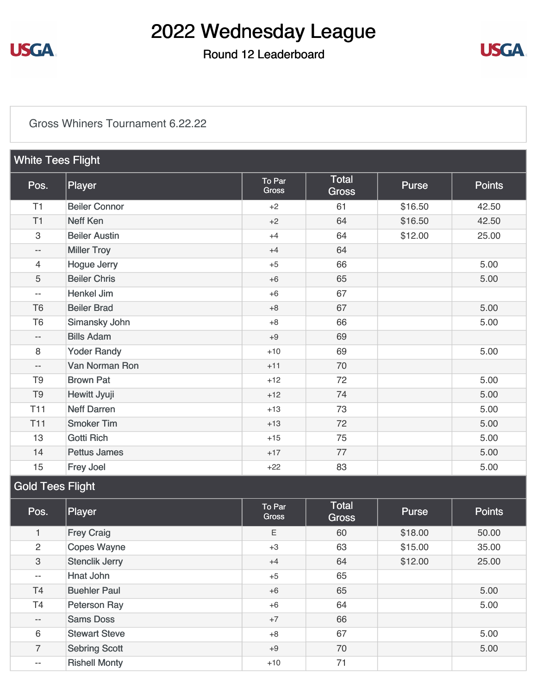

### Round 12 Leaderboard



#### [Gross Whiners Tournament 6.22.22](https://static.golfgenius.com/v2tournaments/8587423764487100950?called_from=&round_index=12)

| <b>White Tees Flight</b>  |                      |                        |                              |         |               |
|---------------------------|----------------------|------------------------|------------------------------|---------|---------------|
| Pos.                      | Player               | To Par<br><b>Gross</b> | <b>Total</b><br><b>Gross</b> | Purse   | <b>Points</b> |
| T1                        | <b>Beiler Connor</b> | $+2$                   | 61                           | \$16.50 | 42.50         |
| T1                        | <b>Neff Ken</b>      | $+2$                   | 64                           | \$16.50 | 42.50         |
| $\ensuremath{\mathsf{3}}$ | <b>Beiler Austin</b> | $+4$                   | 64                           | \$12.00 | 25.00         |
| $\qquad \qquad -$         | <b>Miller Troy</b>   | $+4$                   | 64                           |         |               |
| $\overline{4}$            | <b>Hogue Jerry</b>   | $+5$                   | 66                           |         | 5.00          |
| 5                         | <b>Beiler Chris</b>  | $+6$                   | 65                           |         | 5.00          |
| $\qquad \qquad -$         | <b>Henkel Jim</b>    | $+6$                   | 67                           |         |               |
| T <sub>6</sub>            | <b>Beiler Brad</b>   | $+8$                   | 67                           |         | 5.00          |
| T <sub>6</sub>            | Simansky John        | $+8$                   | 66                           |         | 5.00          |
| $\overline{\phantom{a}}$  | <b>Bills Adam</b>    | $+9$                   | 69                           |         |               |
| 8                         | <b>Yoder Randy</b>   | $+10$                  | 69                           |         | 5.00          |
| $\overline{\phantom{a}}$  | Van Norman Ron       | $+11$                  | 70                           |         |               |
| T <sub>9</sub>            | <b>Brown Pat</b>     | $+12$                  | 72                           |         | 5.00          |
| T <sub>9</sub>            | Hewitt Jyuji         | $+12$                  | 74                           |         | 5.00          |
| T <sub>11</sub>           | <b>Neff Darren</b>   | $+13$                  | 73                           |         | 5.00          |
| T <sub>11</sub>           | <b>Smoker Tim</b>    | $+13$                  | 72                           |         | 5.00          |
| 13                        | <b>Gotti Rich</b>    | $+15$                  | 75                           |         | 5.00          |
| 14                        | <b>Pettus James</b>  | $+17$                  | 77                           |         | 5.00          |
| 15                        | Frey Joel            | $+22$                  | 83                           |         | 5.00          |

### Gold Tees Flight

| Pos.                      | Player                | To Par<br><b>Gross</b> | <b>Total</b><br><b>Gross</b> | <b>Purse</b> | <b>Points</b> |
|---------------------------|-----------------------|------------------------|------------------------------|--------------|---------------|
| 1                         | <b>Frey Craig</b>     | E.                     | 60                           | \$18.00      | 50.00         |
| 2                         | <b>Copes Wayne</b>    | $+3$                   | 63                           | \$15.00      | 35.00         |
| $\ensuremath{\mathsf{3}}$ | <b>Stenclik Jerry</b> | $+4$                   | 64                           | \$12.00      | 25.00         |
| $- -$                     | Hnat John             | $+5$                   | 65                           |              |               |
| <b>T4</b>                 | <b>Buehler Paul</b>   | $+6$                   | 65                           |              | 5.00          |
| Τ4                        | Peterson Ray          | $+6$                   | 64                           |              | 5.00          |
| $\qquad \qquad -$         | <b>Sams Doss</b>      | $+7$                   | 66                           |              |               |
| 6                         | <b>Stewart Steve</b>  | $+8$                   | 67                           |              | 5.00          |
| $\overline{7}$            | <b>Sebring Scott</b>  | $+9$                   | 70                           |              | 5.00          |
| $- -$                     | <b>Rishell Monty</b>  | $+10$                  | 71                           |              |               |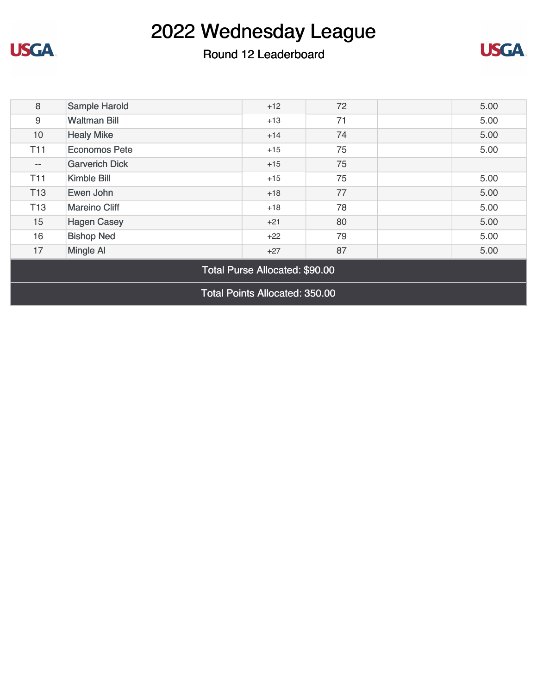

**USGA** 



| 8                                     | Sample Harold         | $+12$ | 72 |  | 5.00 |
|---------------------------------------|-----------------------|-------|----|--|------|
| 9                                     | <b>Waltman Bill</b>   | $+13$ | 71 |  | 5.00 |
| 10                                    | <b>Healy Mike</b>     | $+14$ | 74 |  | 5.00 |
| <b>T11</b>                            | <b>Economos Pete</b>  | $+15$ | 75 |  | 5.00 |
| $\qquad \qquad -$                     | <b>Garverich Dick</b> | $+15$ | 75 |  |      |
| T <sub>11</sub>                       | Kimble Bill           | $+15$ | 75 |  | 5.00 |
| T <sub>13</sub>                       | Ewen John             | $+18$ | 77 |  | 5.00 |
| T <sub>13</sub>                       | <b>Mareino Cliff</b>  | $+18$ | 78 |  | 5.00 |
| 15                                    | <b>Hagen Casey</b>    | $+21$ | 80 |  | 5.00 |
| 16                                    | <b>Bishop Ned</b>     | $+22$ | 79 |  | 5.00 |
| 17                                    | <b>Mingle AI</b>      | $+27$ | 87 |  | 5.00 |
| Total Purse Allocated: \$90.00        |                       |       |    |  |      |
| <b>Total Points Allocated: 350.00</b> |                       |       |    |  |      |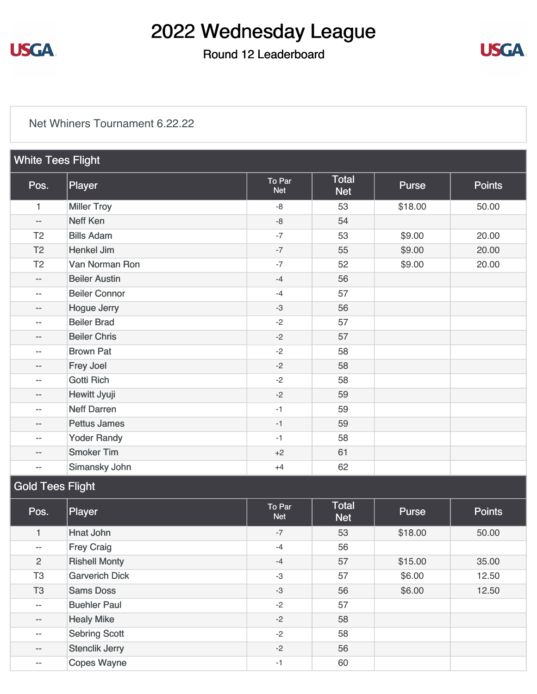

### Round 12 Leaderboard



#### [Net Whiners Tournament 6.22.22](https://static.golfgenius.com/v2tournaments/8587423768446523927?called_from=&round_index=12)

| <b>White Tees Flight</b> |                      |                      |                            |         |               |  |
|--------------------------|----------------------|----------------------|----------------------------|---------|---------------|--|
| Pos.                     | Player               | To Par<br><b>Net</b> | <b>Total</b><br><b>Net</b> | Purse   | <b>Points</b> |  |
| $\mathbf{1}$             | <b>Miller Troy</b>   | $-8$                 | 53                         | \$18.00 | 50.00         |  |
| $- -$                    | <b>Neff Ken</b>      | $-8$                 | 54                         |         |               |  |
| T <sub>2</sub>           | <b>Bills Adam</b>    | $-7$                 | 53                         | \$9.00  | 20.00         |  |
| T <sub>2</sub>           | <b>Henkel Jim</b>    | $-7$                 | 55                         | \$9.00  | 20.00         |  |
| T <sub>2</sub>           | Van Norman Ron       | $-7$                 | 52                         | \$9.00  | 20.00         |  |
| $\qquad \qquad -$        | <b>Beiler Austin</b> | $-4$                 | 56                         |         |               |  |
| $- -$                    | <b>Beiler Connor</b> | $-4$                 | 57                         |         |               |  |
| $\qquad \qquad -$        | <b>Hogue Jerry</b>   | $-3$                 | 56                         |         |               |  |
| $\qquad \qquad -$        | <b>Beiler Brad</b>   | $-2$                 | 57                         |         |               |  |
| $\qquad \qquad -$        | <b>Beiler Chris</b>  | $-2$                 | 57                         |         |               |  |
| $- -$                    | <b>Brown Pat</b>     | $-2$                 | 58                         |         |               |  |
| $\qquad \qquad -$        | Frey Joel            | $-2$                 | 58                         |         |               |  |
| $\qquad \qquad -$        | <b>Gotti Rich</b>    | $-2$                 | 58                         |         |               |  |
| $\qquad \qquad -$        | Hewitt Jyuji         | $-2$                 | 59                         |         |               |  |
| $\qquad \qquad -$        | <b>Neff Darren</b>   | $-1$                 | 59                         |         |               |  |
| $\qquad \qquad -$        | <b>Pettus James</b>  | $-1$                 | 59                         |         |               |  |
| $\qquad \qquad -$        | <b>Yoder Randy</b>   | $-1$                 | 58                         |         |               |  |
| $\qquad \qquad -$        | <b>Smoker Tim</b>    | $+2$                 | 61                         |         |               |  |
| $\qquad \qquad -$        | Simansky John        | $+4$                 | 62                         |         |               |  |

### Gold Tees Flight

| Pos.                     | Player                | To Par<br><b>Net</b> | <b>Total</b><br><b>Net</b> | Purse   | <b>Points</b> |
|--------------------------|-----------------------|----------------------|----------------------------|---------|---------------|
|                          | <b>Hnat John</b>      | $-7$                 | 53                         | \$18.00 | 50.00         |
| $\overline{\phantom{a}}$ | <b>Frey Craig</b>     | $-4$                 | 56                         |         |               |
| $\overline{2}$           | <b>Rishell Monty</b>  | $-4$                 | 57                         | \$15.00 | 35.00         |
| T <sub>3</sub>           | <b>Garverich Dick</b> | $-3$                 | 57                         | \$6.00  | 12.50         |
| T <sub>3</sub>           | <b>Sams Doss</b>      | $-3$                 | 56                         | \$6.00  | 12.50         |
| $- -$                    | <b>Buehler Paul</b>   | $-2$                 | 57                         |         |               |
| $\qquad \qquad -$        | <b>Healy Mike</b>     | $-2$                 | 58                         |         |               |
| $- -$                    | <b>Sebring Scott</b>  | $-2$                 | 58                         |         |               |
| $\qquad \qquad -$        | <b>Stenclik Jerry</b> | $-2$                 | 56                         |         |               |
| $\qquad \qquad -$        | <b>Copes Wayne</b>    | $-1$                 | 60                         |         |               |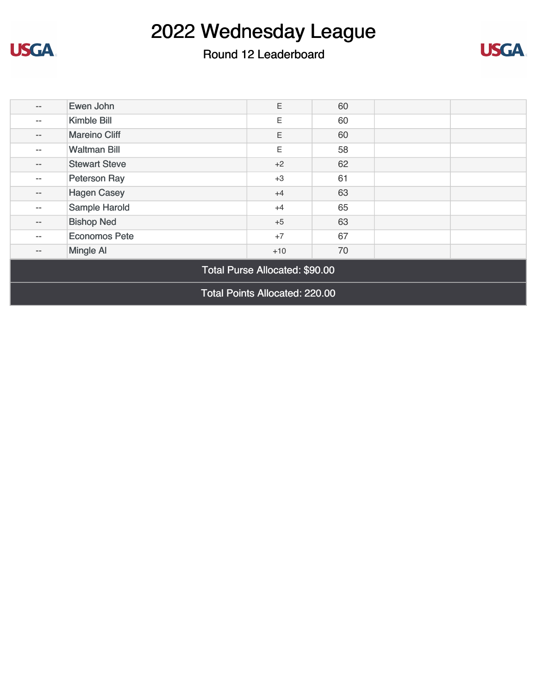

**USGA** 

### Round 12 Leaderboard



| $\qquad \qquad -$                     | Ewen John            | Ε     | 60 |  |  |
|---------------------------------------|----------------------|-------|----|--|--|
| $\qquad \qquad -$                     | Kimble Bill          | E.    | 60 |  |  |
| $--$                                  | <b>Mareino Cliff</b> | Ε     | 60 |  |  |
| $- -$                                 | <b>Waltman Bill</b>  | E     | 58 |  |  |
| $-\,-$                                | <b>Stewart Steve</b> | $+2$  | 62 |  |  |
| $\qquad \qquad -$                     | Peterson Ray         | $+3$  | 61 |  |  |
| $- -$                                 | <b>Hagen Casey</b>   | $+4$  | 63 |  |  |
| $\qquad \qquad -$                     | Sample Harold        | $+4$  | 65 |  |  |
| $\qquad \qquad -$                     | <b>Bishop Ned</b>    | $+5$  | 63 |  |  |
| $- -$                                 | <b>Economos Pete</b> | $+7$  | 67 |  |  |
| $\qquad \qquad -$                     | <b>Mingle Al</b>     | $+10$ | 70 |  |  |
| Total Purse Allocated: \$90.00        |                      |       |    |  |  |
| <b>Total Points Allocated: 220.00</b> |                      |       |    |  |  |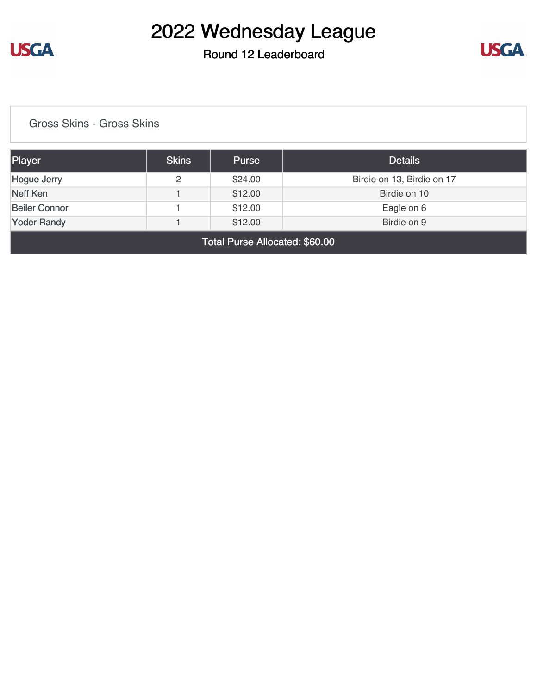

#### Round 12 Leaderboard



[Gross Skins - Gross Skins](https://static.golfgenius.com/v2tournaments/8587426383645399577?called_from=&round_index=12)

| Player               | <b>Skins</b> | <b>Purse</b> | <b>Details</b>             |  |  |
|----------------------|--------------|--------------|----------------------------|--|--|
| Hogue Jerry          | 2            | \$24.00      | Birdie on 13, Birdie on 17 |  |  |
| Neff Ken             |              | \$12.00      | Birdie on 10               |  |  |
| <b>Beiler Connor</b> |              | \$12.00      | Eagle on 6                 |  |  |
| <b>Yoder Randy</b>   |              | \$12.00      | Birdie on 9                |  |  |
| _ _ _                |              |              |                            |  |  |

Total Purse Allocated: \$60.00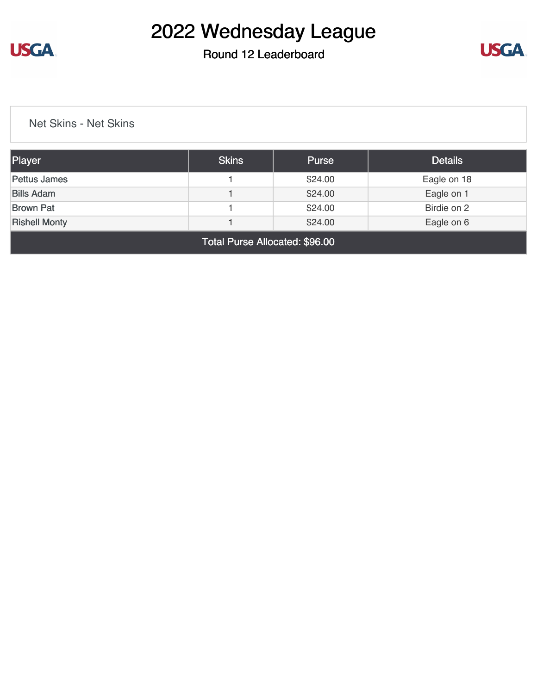

### Round 12 Leaderboard



[Net Skins - Net Skins](https://static.golfgenius.com/v2tournaments/8587427918391564826?called_from=&round_index=12)

| Player                                        | <b>Skins</b> | <b>Purse</b> | <b>Details</b> |  |  |  |
|-----------------------------------------------|--------------|--------------|----------------|--|--|--|
| Pettus James                                  |              | \$24.00      | Eagle on 18    |  |  |  |
| <b>Bills Adam</b>                             |              | \$24.00      | Eagle on 1     |  |  |  |
| <b>Brown Pat</b>                              |              | \$24.00      | Birdie on 2    |  |  |  |
| \$24.00<br><b>Rishell Monty</b><br>Eagle on 6 |              |              |                |  |  |  |
| Total Purse Allocated: \$96.00                |              |              |                |  |  |  |